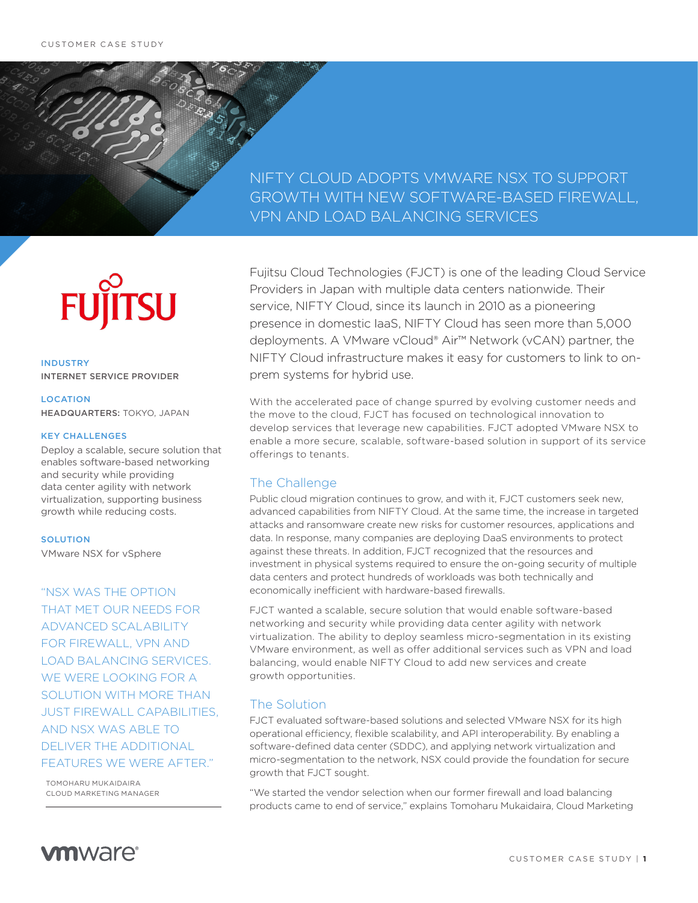# NIFTY CLOUD ADOPTS VMWARE NSX TO SUPPORT GROWTH WITH NEW SOFTWARE-BASED FIREWALL, VPN AND LOAD BALANCING SERVICES

# **SU** FUĬ

INDUSTRY INTERNET SERVICE PROVIDER

LOCATION HEADQUARTERS: TOKYO, JAPAN

#### KEY CHALLENGES

Deploy a scalable, secure solution that enables software-based networking and security while providing data center agility with network virtualization, supporting business growth while reducing costs.

#### **SOLUTION**

VMware NSX for vSphere

"NSX WAS THE OPTION THAT MET OUR NEEDS FOR ADVANCED SCALABILITY FOR FIREWALL, VPN AND LOAD BALANCING SERVICES. WE WERE LOOKING FOR A SOLUTION WITH MORE THAN JUST FIREWALL CAPABILITIES, AND NSX WAS ABLE TO DELIVER THE ADDITIONAL FEATURES WE WERE AFTER."

TOMOHARU MUKAIDAIRA CLOUD MARKETING MANAGER

Fujitsu Cloud Technologies (FJCT) is one of the leading Cloud Service Providers in Japan with multiple data centers nationwide. Their service, NIFTY Cloud, since its launch in 2010 as a pioneering presence in domestic IaaS, NIFTY Cloud has seen more than 5,000 deployments. A VMware vCloud® Air™ Network (vCAN) partner, the NIFTY Cloud infrastructure makes it easy for customers to link to onprem systems for hybrid use.

With the accelerated pace of change spurred by evolving customer needs and the move to the cloud, FJCT has focused on technological innovation to develop services that leverage new capabilities. FJCT adopted VMware NSX to enable a more secure, scalable, software-based solution in support of its service offerings to tenants.

### The Challenge

Public cloud migration continues to grow, and with it, FJCT customers seek new, advanced capabilities from NIFTY Cloud. At the same time, the increase in targeted attacks and ransomware create new risks for customer resources, applications and data. In response, many companies are deploying DaaS environments to protect against these threats. In addition, FJCT recognized that the resources and investment in physical systems required to ensure the on-going security of multiple data centers and protect hundreds of workloads was both technically and economically inefficient with hardware-based firewalls.

FJCT wanted a scalable, secure solution that would enable software-based networking and security while providing data center agility with network virtualization. The ability to deploy seamless micro-segmentation in its existing VMware environment, as well as offer additional services such as VPN and load balancing, would enable NIFTY Cloud to add new services and create growth opportunities.

### The Solution

FJCT evaluated software-based solutions and selected VMware NSX for its high operational efficiency, flexible scalability, and API interoperability. By enabling a software-defined data center (SDDC), and applying network virtualization and micro-segmentation to the network, NSX could provide the foundation for secure growth that FJCT sought.

"We started the vendor selection when our former firewall and load balancing products came to end of service," explains Tomoharu Mukaidaira, Cloud Marketing

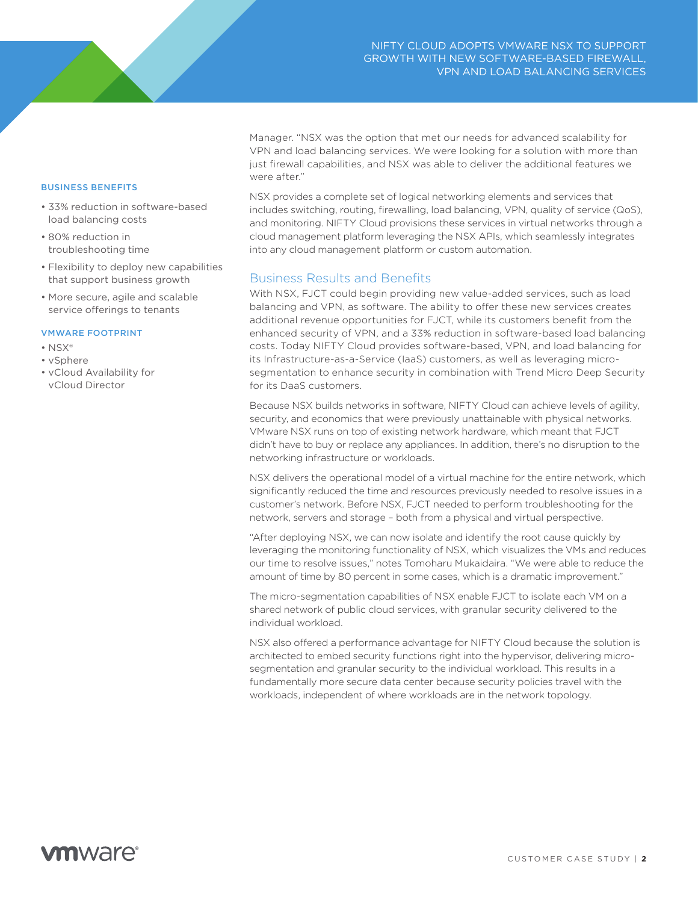BUSINESS BENEFITS

- 33% reduction in software-based load balancing costs
- 80% reduction in troubleshooting time
- Flexibility to deploy new capabilities that support business growth
- More secure, agile and scalable service offerings to tenants

#### VMWARE FOOTPRINT

- NSX®
- vSphere
- vCloud Availability for vCloud Director

Manager. "NSX was the option that met our needs for advanced scalability for VPN and load balancing services. We were looking for a solution with more than just firewall capabilities, and NSX was able to deliver the additional features we were after."

NSX provides a complete set of logical networking elements and services that includes switching, routing, firewalling, load balancing, VPN, quality of service (QoS), and monitoring. NIFTY Cloud provisions these services in virtual networks through a cloud management platform leveraging the NSX APIs, which seamlessly integrates into any cloud management platform or custom automation.

### Business Results and Benefits

With NSX, FJCT could begin providing new value-added services, such as load balancing and VPN, as software. The ability to offer these new services creates additional revenue opportunities for FJCT, while its customers benefit from the enhanced security of VPN, and a 33% reduction in software-based load balancing costs. Today NIFTY Cloud provides software-based, VPN, and load balancing for its Infrastructure-as-a-Service (IaaS) customers, as well as leveraging microsegmentation to enhance security in combination with Trend Micro Deep Security for its DaaS customers.

Because NSX builds networks in software, NIFTY Cloud can achieve levels of agility, security, and economics that were previously unattainable with physical networks. VMware NSX runs on top of existing network hardware, which meant that FJCT didn't have to buy or replace any appliances. In addition, there's no disruption to the networking infrastructure or workloads.

NSX delivers the operational model of a virtual machine for the entire network, which significantly reduced the time and resources previously needed to resolve issues in a customer's network. Before NSX, FJCT needed to perform troubleshooting for the network, servers and storage – both from a physical and virtual perspective.

"After deploying NSX, we can now isolate and identify the root cause quickly by leveraging the monitoring functionality of NSX, which visualizes the VMs and reduces our time to resolve issues," notes Tomoharu Mukaidaira. "We were able to reduce the amount of time by 80 percent in some cases, which is a dramatic improvement."

The micro-segmentation capabilities of NSX enable FJCT to isolate each VM on a shared network of public cloud services, with granular security delivered to the individual workload.

NSX also offered a performance advantage for NIFTY Cloud because the solution is architected to embed security functions right into the hypervisor, delivering microsegmentation and granular security to the individual workload. This results in a fundamentally more secure data center because security policies travel with the workloads, independent of where workloads are in the network topology.

# **vm**ware<sup>®</sup>